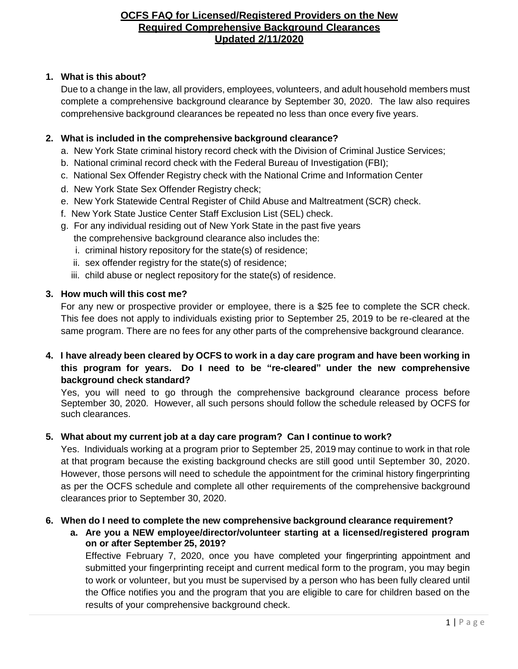### **1. What is this about?**

Due to a change in the law, all providers, employees, volunteers, and adult household members must complete a comprehensive background clearance by September 30, 2020. The law also requires comprehensive background clearances be repeated no less than once every five years.

### **2. What is included in the comprehensive background clearance?**

- a. New York State criminal history record check with the Division of Criminal Justice Services;
- b. National criminal record check with the Federal Bureau of Investigation (FBI);
- c. National Sex Offender Registry check with the National Crime and Information Center
- d. New York State Sex Offender Registry check;
- e. New York Statewide Central Register of Child Abuse and Maltreatment (SCR) check.
- f. New York State Justice Center Staff Exclusion List (SEL) check.
- g. For any individual residing out of New York State in the past five years the comprehensive background clearance also includes the:
	- i. criminal history repository for the state(s) of residence;
	- ii. sex offender registry for the state(s) of residence;
	- iii. child abuse or neglect repository for the state(s) of residence.

# **3. How much will this cost me?**

For any new or prospective provider or employee, there is a \$25 fee to complete the SCR check. This fee does not apply to individuals existing prior to September 25, 2019 to be re-cleared at the same program. There are no fees for any other parts of the comprehensive background clearance.

# 4. I have already been cleared by OCFS to work in a day care program and have been working in **this program for years. Do I need to be "re-cleared" under the new comprehensive background check standard?**

Yes, you will need to go through the comprehensive background clearance process before September 30, 2020. However, all such persons should follow the schedule released by OCFS for such clearances.

## **5. What about my current job at a day care program? Can I continue to work?**

Yes. Individuals working at a program prior to September 25, 2019 may continue to work in that role at that program because the existing background checks are still good until September 30, 2020. However, those persons will need to schedule the appointment for the criminal history fingerprinting as per the OCFS schedule and complete all other requirements of the comprehensive background clearances prior to September 30, 2020.

## **6. When do I need to complete the new comprehensive background clearance requirement?**

**a. Are you a NEW employee/director/volunteer starting at a licensed/registered program on or after September 25, 2019?**

Effective February 7, 2020, once you have completed your fingerprinting appointment and submitted your fingerprinting receipt and current medical form to the program, you may begin to work or volunteer, but you must be supervised by a person who has been fully cleared until the Office notifies you and the program that you are eligible to care for children based on the results of your comprehensive background check.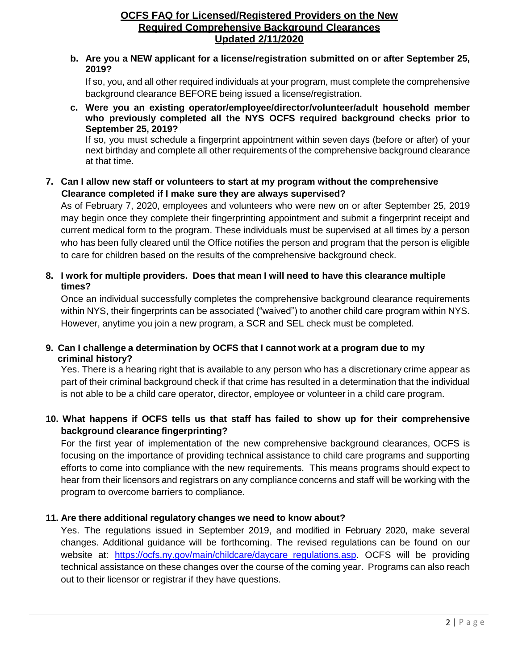#### **b. Are you a NEW applicant for a license/registration submitted on or after September 25, 2019?**

If so, you, and all other required individuals at your program, must complete the comprehensive background clearance BEFORE being issued a license/registration.

**c. Were you an existing operator/employee/director/volunteer/adult household member who previously completed all the NYS OCFS required background checks prior to September 25, 2019?**

If so, you must schedule a fingerprint appointment within seven days (before or after) of your next birthday and complete all other requirements of the comprehensive background clearance at that time.

## **7. Can I allow new staff or volunteers to start at my program without the comprehensive Clearance completed if I make sure they are always supervised?**

As of February 7, 2020, employees and volunteers who were new on or after September 25, 2019 may begin once they complete their fingerprinting appointment and submit a fingerprint receipt and current medical form to the program. These individuals must be supervised at all times by a person who has been fully cleared until the Office notifies the person and program that the person is eligible to care for children based on the results of the comprehensive background check.

### **8. I work for multiple providers. Does that mean I will need to have this clearance multiple times?**

Once an individual successfully completes the comprehensive background clearance requirements within NYS, their fingerprints can be associated ("waived") to another child care program within NYS. However, anytime you join a new program, a SCR and SEL check must be completed.

## **9. Can I challenge a determination by OCFS that I cannot work at a program due to my criminal history?**

Yes. There is a hearing right that is available to any person who has a discretionary crime appear as part of their criminal background check if that crime has resulted in a determination that the individual is not able to be a child care operator, director, employee or volunteer in a child care program.

# **10. What happens if OCFS tells us that staff has failed to show up for their comprehensive background clearance fingerprinting?**

For the first year of implementation of the new comprehensive background clearances, OCFS is focusing on the importance of providing technical assistance to child care programs and supporting efforts to come into compliance with the new requirements. This means programs should expect to hear from their licensors and registrars on any compliance concerns and staff will be working with the program to overcome barriers to compliance.

## **11. Are there additional regulatory changes we need to know about?**

Yes. The regulations issued in September 2019, and modified in February 2020, make several changes. Additional guidance will be forthcoming. The revised regulations can be found on our website at: https://ocfs.ny.gov/main/childcare/daycare regulations.asp. OCFS will be providing technical assistance on these changes over the course of the coming year. Programs can also reach out to their licensor or registrar if they have questions.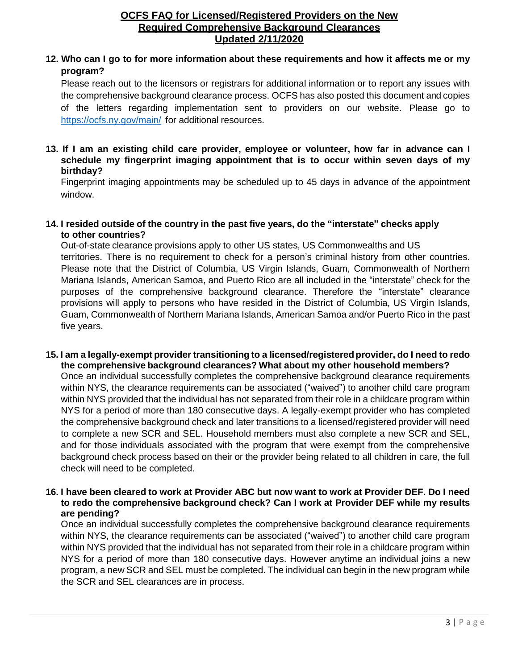## 12. Who can I go to for more information about these requirements and how it affects me or my **program?**

Please reach out to the licensors or registrars for additional information or to report any issues with the comprehensive background clearance process. OCFS has also posted this document and copies of the letters regarding implementation sent to providers on our website. Please go to <https://ocfs.ny.gov/main/> for additional resources.

#### **13. If I am an existing child care provider, employee or volunteer, how far in advance can I schedule my fingerprint imaging appointment that is to occur within seven days of my birthday?**

Fingerprint imaging appointments may be scheduled up to 45 days in advance of the appointment window.

#### **14. I resided outside of the country in the past five years, do the "interstate" checks apply to other countries?**

Out-of-state clearance provisions apply to other US states, US Commonwealths and US territories. There is no requirement to check for a person's criminal history from other countries. Please note that the District of Columbia, US Virgin Islands, Guam, Commonwealth of Northern Mariana Islands, American Samoa, and Puerto Rico are all included in the "interstate" check for the purposes of the comprehensive background clearance. Therefore the "interstate" clearance provisions will apply to persons who have resided in the District of Columbia, US Virgin Islands, Guam, Commonwealth of Northern Mariana Islands, American Samoa and/or Puerto Rico in the past five years.

**15. I am a legally-exempt provider transitioning to a licensed/registeredprovider, do I need to redo the comprehensive background clearances? What about my other household members?**

Once an individual successfully completes the comprehensive background clearance requirements within NYS, the clearance requirements can be associated ("waived") to another child care program within NYS provided that the individual has not separated from their role in a childcare program within NYS for a period of more than 180 consecutive days. A legally-exempt provider who has completed the comprehensive background check and later transitions to a licensed/registered provider will need to complete a new SCR and SEL. Household members must also complete a new SCR and SEL, and for those individuals associated with the program that were exempt from the comprehensive background check process based on their or the provider being related to all children in care, the full check will need to be completed.

#### 16. I have been cleared to work at Provider ABC but now want to work at Provider DEF. Do I need **to redo the comprehensive background check? Can I work at Provider DEF while my results are pending?**

Once an individual successfully completes the comprehensive background clearance requirements within NYS, the clearance requirements can be associated ("waived") to another child care program within NYS provided that the individual has not separated from their role in a childcare program within NYS for a period of more than 180 consecutive days. However anytime an individual joins a new program, a new SCR and SEL must be completed. The individual can begin in the new program while the SCR and SEL clearances are in process.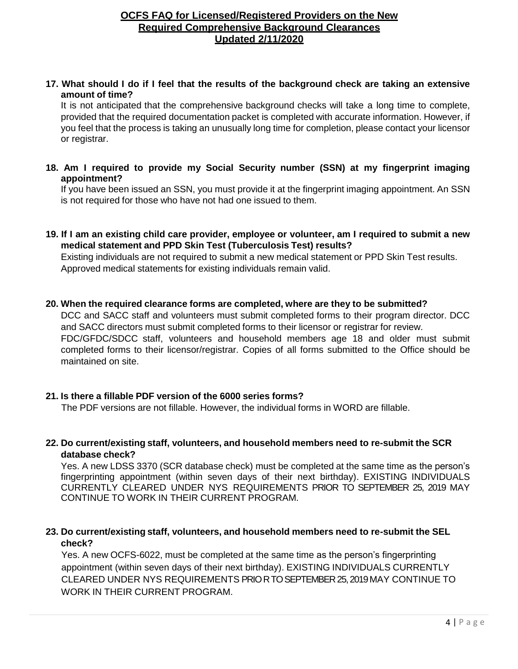17. What should I do if I feel that the results of the background check are taking an extensive **amount of time?**

It is not anticipated that the comprehensive background checks will take a long time to complete, provided that the required documentation packet is completed with accurate information. However, if you feel that the process is taking an unusually long time for completion, please contact your licensor or registrar.

**18. Am I required to provide my Social Security number (SSN) at my fingerprint imaging appointment?**

If you have been issued an SSN, you must provide it at the fingerprint imaging appointment. An SSN is not required for those who have not had one issued to them.

19. If I am an existing child care provider, employee or volunteer, am I required to submit a new **medical statement and PPD Skin Test (Tuberculosis Test) results?**

Existing individuals are not required to submit a new medical statement or PPD Skin Test results. Approved medical statements for existing individuals remain valid.

**20. When the required clearance forms are completed, where are they to be submitted?**

DCC and SACC staff and volunteers must submit completed forms to their program director. DCC and SACC directors must submit completed forms to their licensor or registrar for review. FDC/GFDC/SDCC staff, volunteers and household members age 18 and older must submit completed forms to their licensor/registrar. Copies of all forms submitted to the Office should be maintained on site.

#### **21. Is there a fillable PDF version of the 6000 series forms?**

The PDF versions are not fillable. However, the individual forms in WORD are fillable.

**22. Do current/existing staff, volunteers, and household members need to re-submit the SCR database check?**

Yes. A new LDSS 3370 (SCR database check) must be completed at the same time as the person's fingerprinting appointment (within seven days of their next birthday). EXISTING INDIVIDUALS CURRENTLY CLEARED UNDER NYS REQUIREMENTS PRIOR TO SEPTEMBER 25, 2019 MAY CONTINUE TO WORK IN THEIR CURRENT PROGRAM.

**23. Do current/existing staff, volunteers, and household members need to re-submit the SEL check?**

 Yes. A new OCFS-6022, must be completed at the same time as the person's fingerprinting appointment (within seven days of their next birthday). EXISTING INDIVIDUALS CURRENTLY CLEARED UNDER NYS REQUIREMENTS PRIO R TOSEPTEMBER 25, 2019 MAY CONTINUE TO WORK IN THEIR CURRENT PROGRAM.